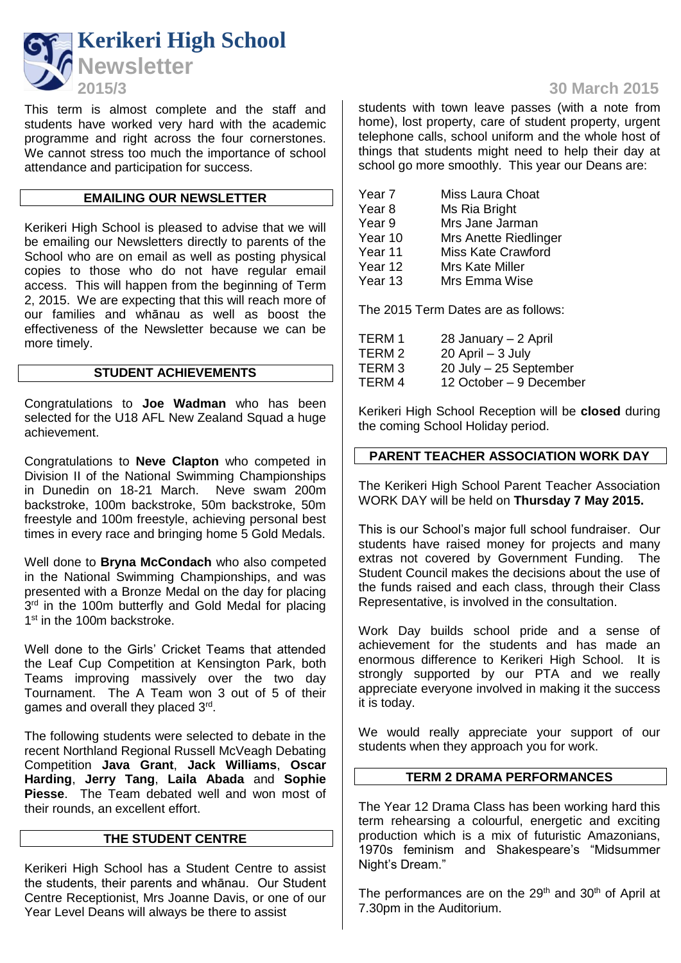

This term is almost complete and the staff and students have worked very hard with the academic programme and right across the four cornerstones. We cannot stress too much the importance of school attendance and participation for success.

### **EMAILING OUR NEWSLETTER**

Kerikeri High School is pleased to advise that we will be emailing our Newsletters directly to parents of the School who are on email as well as posting physical copies to those who do not have regular email access. This will happen from the beginning of Term 2, 2015. We are expecting that this will reach more of our families and whānau as well as boost the effectiveness of the Newsletter because we can be more timely.

### **STUDENT ACHIEVEMENTS**

Congratulations to **Joe Wadman** who has been selected for the U18 AFL New Zealand Squad a huge achievement.

Congratulations to **Neve Clapton** who competed in Division II of the National Swimming Championships in Dunedin on 18-21 March. Neve swam 200m backstroke, 100m backstroke, 50m backstroke, 50m freestyle and 100m freestyle, achieving personal best times in every race and bringing home 5 Gold Medals.

Well done to **Bryna McCondach** who also competed in the National Swimming Championships, and was presented with a Bronze Medal on the day for placing 3<sup>rd</sup> in the 100m butterfly and Gold Medal for placing 1<sup>st</sup> in the 100m backstroke.

Well done to the Girls' Cricket Teams that attended the Leaf Cup Competition at Kensington Park, both Teams improving massively over the two day Tournament. The A Team won 3 out of 5 of their games and overall they placed 3<sup>rd</sup>.

The following students were selected to debate in the recent Northland Regional Russell McVeagh Debating Competition **Java Grant**, **Jack Williams**, **Oscar Harding**, **Jerry Tang**, **Laila Abada** and **Sophie Piesse**. The Team debated well and won most of their rounds, an excellent effort.

### **THE STUDENT CENTRE**

Kerikeri High School has a Student Centre to assist the students, their parents and whānau. Our Student Centre Receptionist, Mrs Joanne Davis, or one of our Year Level Deans will always be there to assist

# **2015/3 30 March 2015**

students with town leave passes (with a note from home), lost property, care of student property, urgent telephone calls, school uniform and the whole host of things that students might need to help their day at school go more smoothly. This year our Deans are:

| Year 7  | Miss Laura Choat          |
|---------|---------------------------|
| Year 8  | Ms Ria Bright             |
| Year 9  | Mrs Jane Jarman           |
| Year 10 | Mrs Anette Riedlinger     |
| Year 11 | <b>Miss Kate Crawford</b> |
| Year 12 | Mrs Kate Miller           |
| Year 13 | Mrs Emma Wise             |
|         |                           |

The 2015 Term Dates are as follows:

| TERM 1 | 28 January - 2 April    |
|--------|-------------------------|
| TERM 2 | $20$ April $-3$ July    |
| TERM 3 | 20 July - 25 September  |
| TERM 4 | 12 October – 9 December |

Kerikeri High School Reception will be **closed** during the coming School Holiday period.

### **PARENT TEACHER ASSOCIATION WORK DAY**

The Kerikeri High School Parent Teacher Association WORK DAY will be held on **Thursday 7 May 2015.**

This is our School's major full school fundraiser. Our students have raised money for projects and many extras not covered by Government Funding. The Student Council makes the decisions about the use of the funds raised and each class, through their Class Representative, is involved in the consultation.

Work Day builds school pride and a sense of achievement for the students and has made an enormous difference to Kerikeri High School. It is strongly supported by our PTA and we really appreciate everyone involved in making it the success it is today.

We would really appreciate your support of our students when they approach you for work.

### **TERM 2 DRAMA PERFORMANCES**

The Year 12 Drama Class has been working hard this term rehearsing a colourful, energetic and exciting production which is a mix of futuristic Amazonians, 1970s feminism and Shakespeare's "Midsummer Night's Dream."

The performances are on the  $29<sup>th</sup>$  and  $30<sup>th</sup>$  of April at 7.30pm in the Auditorium.